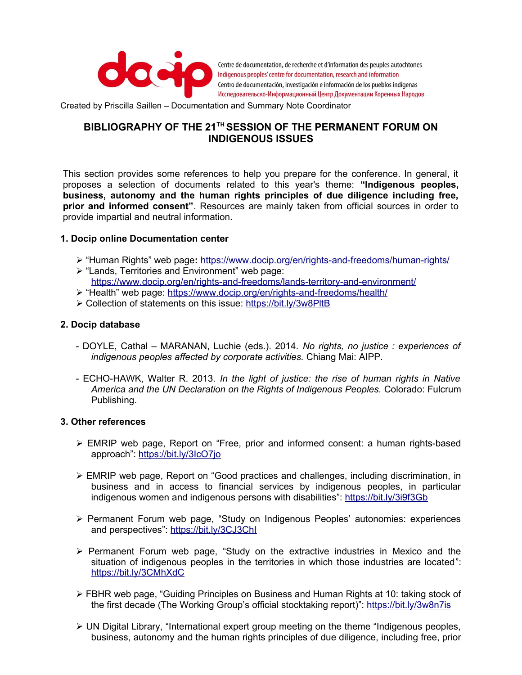

Centre de documentation, de recherche et d'information des peuples autochtones Indigenous peoples' centre for documentation, research and information Centro de documentación, investigación e información de los pueblos indígenas Исследовательско-Информационный Центр Документации Коренных Народов

Created by Priscilla Saillen – Documentation and Summary Note Coordinator

## **BIBLIOGRAPHY OF THE 21TH SESSION OF THE PERMANENT FORUM ON INDIGENOUS ISSUES**

This section provides some references to help you prepare for the conference. In general, it proposes a selection of documents related to this year's theme: **"Indigenous peoples, business, autonomy and the human rights principles of due diligence including free, prior and informed consent"**. Resources are mainly taken from official sources in order to provide impartial and neutral information.

## **1. Docip online Documentation center**

- ➢ "Human Rights" web page**:** <https://www.docip.org/en/rights-and-freedoms/human-rights/>
- ➢ "Lands, Territories and Environment" web page: <https://www.docip.org/en/rights-and-freedoms/lands-territory-and-environment/>
- ➢ "Health" web page: <https://www.docip.org/en/rights-and-freedoms/health/>
- ➢ Collection of statements on this issue:<https://bit.ly/3w8PltB>

## **2. Docip database**

- DOYLE, Cathal MARANAN, Luchie (eds.). 2014. *No rights, no justice : experiences of indigenous peoples affected by corporate activities.* Chiang Mai: AIPP.
- ECHO-HAWK, Walter R. 2013. *In the light of justice: the rise of human rights in Native America and the UN Declaration on the Rights of Indigenous Peoples.* Colorado: Fulcrum Publishing.

## **3. Other references**

- ➢ EMRIP web page, Report on "Free, prior and informed consent: a human rights-based approach":<https://bit.ly/3IcO7jo>
- ➢ EMRIP web page, Report on "Good practices and challenges, including discrimination, in business and in access to financial services by indigenous peoples, in particular indigenous women and indigenous persons with disabilities": <https://bit.ly/3i9f3Gb>
- ➢ Permanent Forum web page, "Study on Indigenous Peoples' autonomies: experiences and perspectives": <https://bit.ly/3CJ3ChI>
- ➢ Permanent Forum web page, "Study on the extractive industries in Mexico and the situation of indigenous peoples in the territories in which those industries are located": <https://bit.ly/3CMhXdC>
- ➢ FBHR web page, "Guiding Principles on Business and Human Rights at 10: taking stock of the first decade (The Working Group's official stocktaking report)":<https://bit.ly/3w8n7is>
- $\triangleright$  UN Digital Library, "International expert group meeting on the theme "Indigenous peoples, business, autonomy and the human rights principles of due diligence, including free, prior